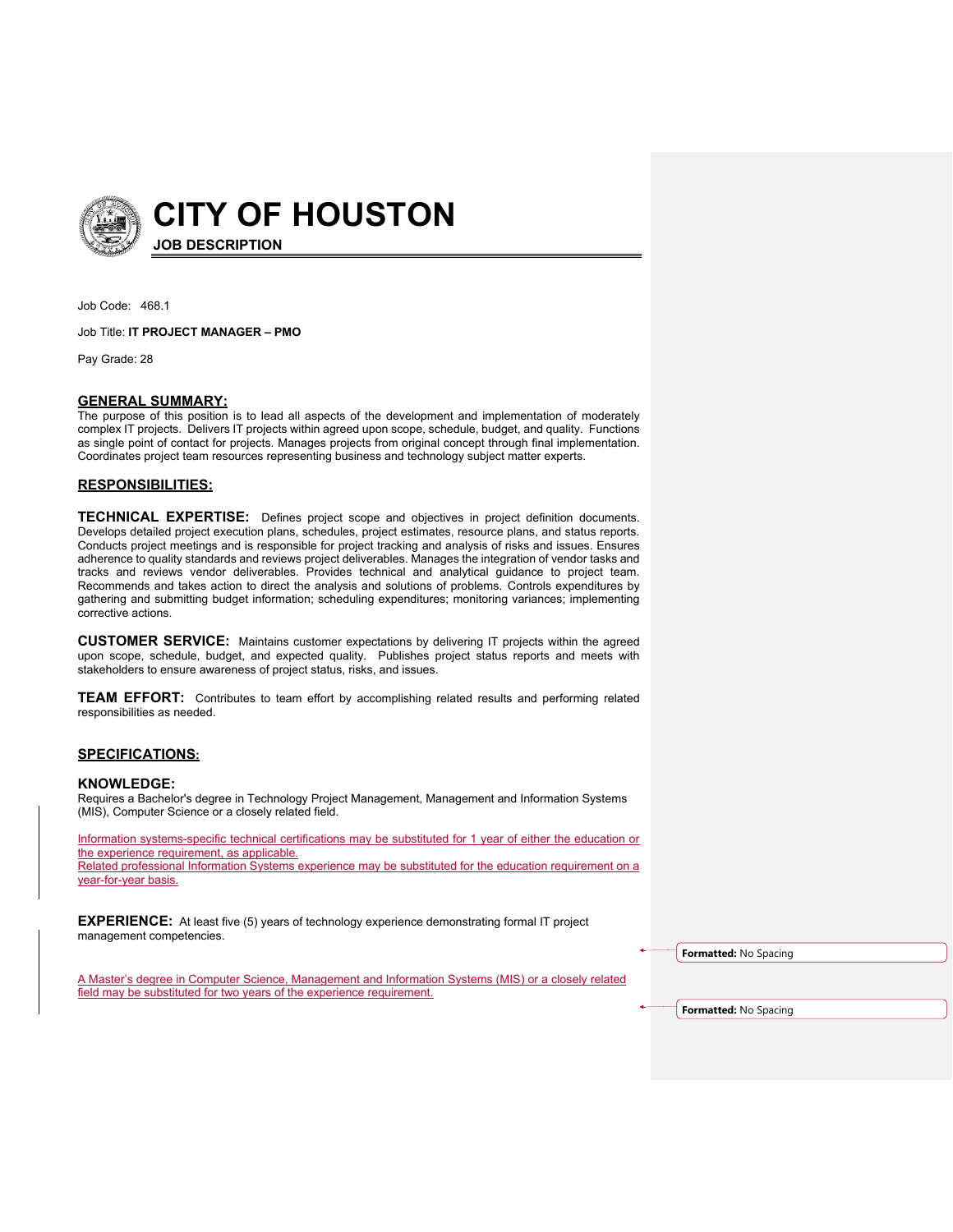

**CITY OF HOUSTON JOB DESCRIPTION**

Job Code: 468.1

Job Title: **IT PROJECT MANAGER – PMO**

Pay Grade: 28

## **GENERAL SUMMARY:**

The purpose of this position is to lead all aspects of the development and implementation of moderately complex IT projects. Delivers IT projects within agreed upon scope, schedule, budget, and quality. Functions as single point of contact for projects. Manages projects from original concept through final implementation. Coordinates project team resources representing business and technology subject matter experts.

## **RESPONSIBILITIES:**

**TECHNICAL EXPERTISE:** Defines project scope and objectives in project definition documents. Develops detailed project execution plans, schedules, project estimates, resource plans, and status reports. Conducts project meetings and is responsible for project tracking and analysis of risks and issues. Ensures adherence to quality standards and reviews project deliverables. Manages the integration of vendor tasks and tracks and reviews vendor deliverables. Provides technical and analytical guidance to project team. Recommends and takes action to direct the analysis and solutions of problems. Controls expenditures by gathering and submitting budget information; scheduling expenditures; monitoring variances; implementing corrective actions.

**CUSTOMER SERVICE:** Maintains customer expectations by delivering IT projects within the agreed upon scope, schedule, budget, and expected quality. Publishes project status reports and meets with stakeholders to ensure awareness of project status, risks, and issues.

**TEAM EFFORT:** Contributes to team effort by accomplishing related results and performing related responsibilities as needed.

## **SPECIFICATIONS:**

## **KNOWLEDGE:**

Requires a Bachelor's degree in Technology Project Management, Management and Information Systems (MIS), Computer Science or a closely related field.

Information systems-specific technical certifications may be substituted for 1 year of either the education or the experience requirement, as applicable. Related professional Information Systems experience may be substituted for the education requirement on a year-for-year basis.

**EXPERIENCE:** At least five (5) years of technology experience demonstrating formal IT project management competencies.

**Formatted:** No Spacing

A Master's degree in Computer Science, Management and Information Systems (MIS) or a closely related field may be substituted for two years of the experience requirement.

**Formatted:** No Spacing